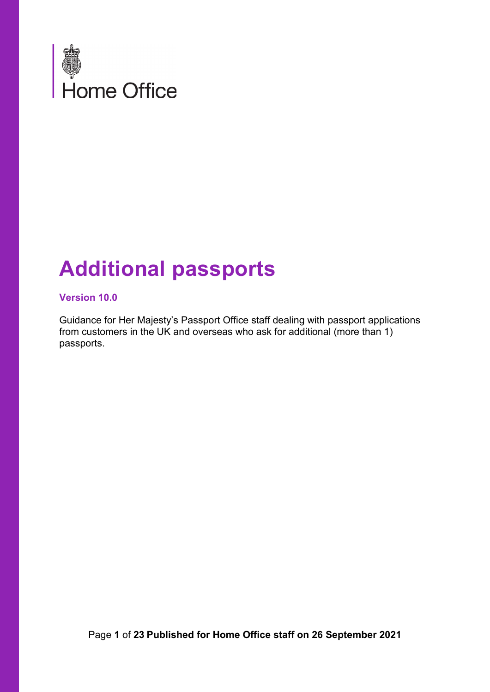

# **Additional passports**

#### **Version 10.0**

Guidance for Her Majesty's Passport Office staff dealing with passport applications from customers in the UK and overseas who ask for additional (more than 1) passports.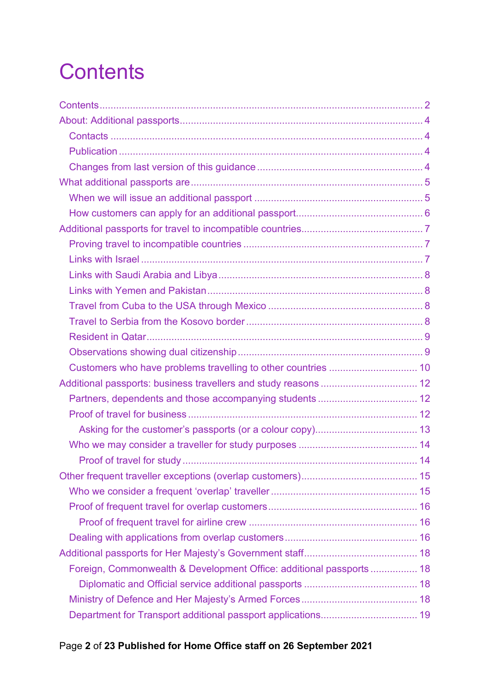# <span id="page-1-0"></span>**Contents**

| Additional passports: business travellers and study reasons  12      |  |
|----------------------------------------------------------------------|--|
|                                                                      |  |
|                                                                      |  |
|                                                                      |  |
|                                                                      |  |
|                                                                      |  |
|                                                                      |  |
|                                                                      |  |
|                                                                      |  |
|                                                                      |  |
|                                                                      |  |
|                                                                      |  |
| Foreign, Commonwealth & Development Office: additional passports  18 |  |
|                                                                      |  |
|                                                                      |  |
|                                                                      |  |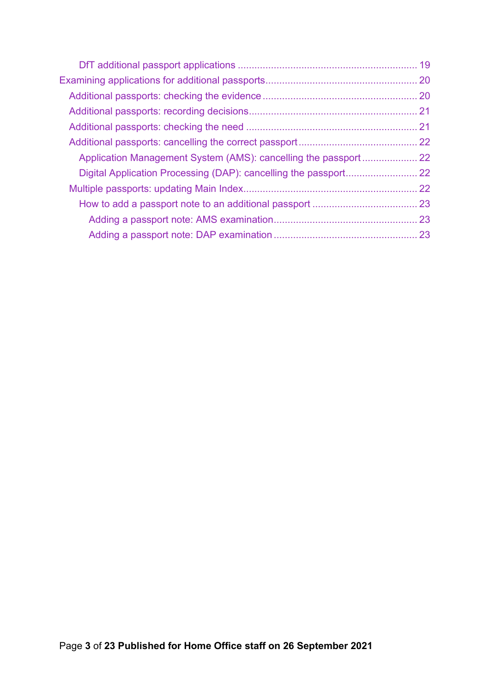| Application Management System (AMS): cancelling the passport  22 |  |
|------------------------------------------------------------------|--|
|                                                                  |  |
|                                                                  |  |
|                                                                  |  |
|                                                                  |  |
|                                                                  |  |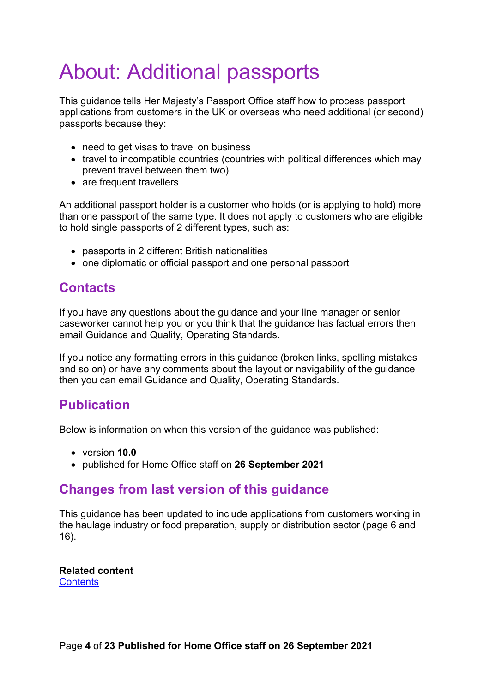# <span id="page-3-0"></span>About: Additional passports

This guidance tells Her Majesty's Passport Office staff how to process passport applications from customers in the UK or overseas who need additional (or second) passports because they:

- need to get visas to travel on business
- travel to incompatible countries (countries with political differences which may prevent travel between them two)
- are frequent travellers

An additional passport holder is a customer who holds (or is applying to hold) more than one passport of the same type. It does not apply to customers who are eligible to hold single passports of 2 different types, such as:

- passports in 2 different British nationalities
- one diplomatic or official passport and one personal passport

#### <span id="page-3-1"></span>**Contacts**

If you have any questions about the guidance and your line manager or senior caseworker cannot help you or you think that the guidance has factual errors then email Guidance and Quality, Operating Standards.

If you notice any formatting errors in this guidance (broken links, spelling mistakes and so on) or have any comments about the layout or navigability of the guidance then you can email Guidance and Quality, Operating Standards.

#### <span id="page-3-2"></span>**Publication**

Below is information on when this version of the guidance was published:

- version **10.0**
- published for Home Office staff on **26 September 2021**

#### <span id="page-3-3"></span>**Changes from last version of this guidance**

This guidance has been updated to include applications from customers working in the haulage industry or food preparation, supply or distribution sector (page 6 and 16).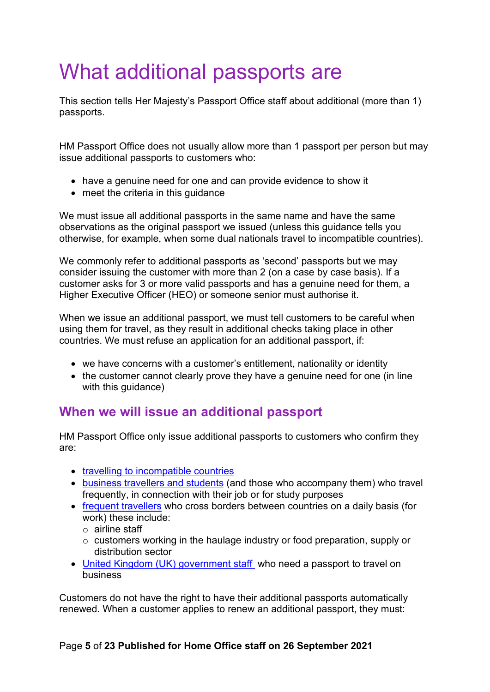# <span id="page-4-0"></span>What additional passports are

This section tells Her Majesty's Passport Office staff about additional (more than 1) passports.

HM Passport Office does not usually allow more than 1 passport per person but may issue additional passports to customers who:

- have a genuine need for one and can provide evidence to show it
- meet the criteria in this quidance

We must issue all additional passports in the same name and have the same observations as the original passport we issued (unless this guidance tells you otherwise, for example, when some dual nationals travel to incompatible countries).

We commonly refer to additional passports as 'second' passports but we may consider issuing the customer with more than 2 (on a case by case basis). If a customer asks for 3 or more valid passports and has a genuine need for them, a Higher Executive Officer (HEO) or someone senior must authorise it.

When we issue an additional passport, we must tell customers to be careful when using them for travel, as they result in additional checks taking place in other countries. We must refuse an application for an additional passport, if:

- we have concerns with a customer's entitlement, nationality or identity
- the customer cannot clearly prove they have a genuine need for one (in line with this guidance)

## <span id="page-4-1"></span>**When we will issue an additional passport**

HM Passport Office only issue additional passports to customers who confirm they are:

- [travelling to incompatible countries](#page-6-0)
- [business travellers](#page-11-0) and students (and those who accompany them) who travel frequently, in connection with their job or for study purposes
- [frequent travellers](#page-13-2) who cross borders between countries on a daily basis (for work) these include:
	- o airline staff
	- o customers working in the haulage industry or food preparation, supply or distribution sector
- United Kingdom [\(UK\) government staff](#page-17-0) who need a passport to travel on business

Customers do not have the right to have their additional passports automatically renewed. When a customer applies to renew an additional passport, they must: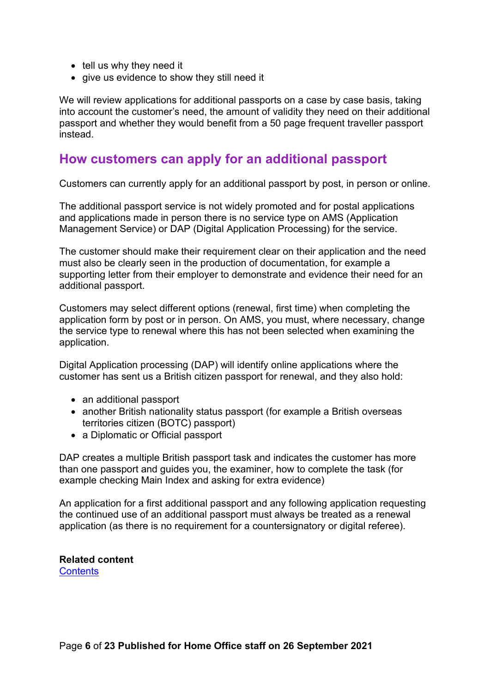- tell us why they need it
- give us evidence to show they still need it

We will review applications for additional passports on a case by case basis, taking into account the customer's need, the amount of validity they need on their additional passport and whether they would benefit from a 50 page frequent traveller passport instead.

#### <span id="page-5-0"></span>**How customers can apply for an additional passport**

Customers can currently apply for an additional passport by post, in person or online.

The additional passport service is not widely promoted and for postal applications and applications made in person there is no service type on AMS (Application Management Service) or DAP (Digital Application Processing) for the service.

The customer should make their requirement clear on their application and the need must also be clearly seen in the production of documentation, for example a supporting letter from their employer to demonstrate and evidence their need for an additional passport.

Customers may select different options (renewal, first time) when completing the application form by post or in person. On AMS, you must, where necessary, change the service type to renewal where this has not been selected when examining the application.

Digital Application processing (DAP) will identify online applications where the customer has sent us a British citizen passport for renewal, and they also hold:

- an additional passport
- another British nationality status passport (for example a British overseas territories citizen (BOTC) passport)
- a Diplomatic or Official passport

DAP creates a multiple British passport task and indicates the customer has more than one passport and guides you, the examiner, how to complete the task (for example checking Main Index and asking for extra evidence)

An application for a first additional passport and any following application requesting the continued use of an additional passport must always be treated as a renewal application (as there is no requirement for a countersignatory or digital referee).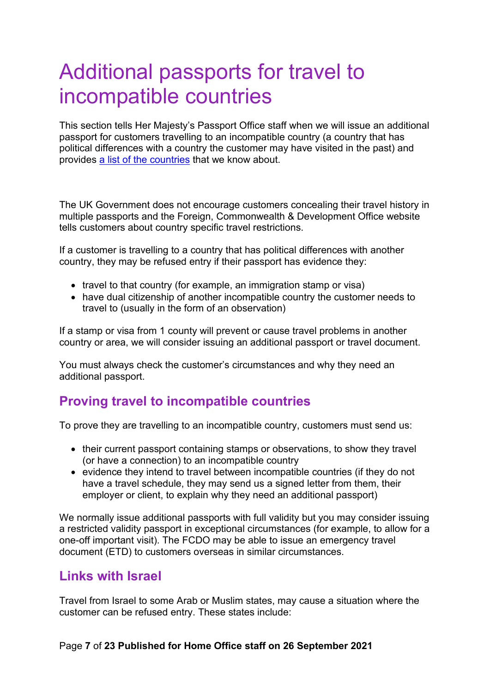# <span id="page-6-0"></span>Additional passports for travel to incompatible countries

This section tells Her Majesty's Passport Office staff when we will issue an additional passport for customers travelling to an incompatible country (a country that has political differences with a country the customer may have visited in the past) and provides [a list of the countries](#page-6-2) that we know about.

The UK Government does not encourage customers concealing their travel history in multiple passports and the Foreign, Commonwealth & Development Office website tells customers about country specific travel restrictions.

If a customer is travelling to a country that has political differences with another country, they may be refused entry if their passport has evidence they:

- travel to that country (for example, an immigration stamp or visa)
- have dual citizenship of another incompatible country the customer needs to travel to (usually in the form of an observation)

If a stamp or visa from 1 county will prevent or cause travel problems in another country or area, we will consider issuing an additional passport or travel document.

You must always check the customer's circumstances and why they need an additional passport.

#### <span id="page-6-1"></span>**Proving travel to incompatible countries**

To prove they are travelling to an incompatible country, customers must send us:

- their current passport containing stamps or observations, to show they travel (or have a connection) to an incompatible country
- evidence they intend to travel between incompatible countries (if they do not have a travel schedule, they may send us a signed letter from them, their employer or client, to explain why they need an additional passport)

We normally issue additional passports with full validity but you may consider issuing a restricted validity passport in exceptional circumstances (for example, to allow for a one-off important visit). The FCDO may be able to issue an emergency travel document (ETD) to customers overseas in similar circumstances.

#### <span id="page-6-2"></span>**Links with Israel**

Travel from Israel to some Arab or Muslim states, may cause a situation where the customer can be refused entry. These states include:

#### Page **7** of **23 Published for Home Office staff on 26 September 2021**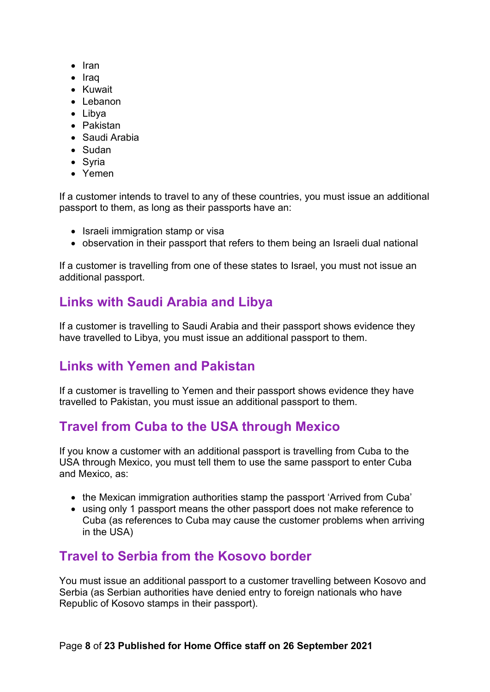- Iran
- Iraq
- Kuwait
- Lebanon
- Libya
- Pakistan
- Saudi Arabia
- Sudan
- Syria
- Yemen

If a customer intends to travel to any of these countries, you must issue an additional passport to them, as long as their passports have an:

- Israeli immigration stamp or visa
- observation in their passport that refers to them being an Israeli dual national

If a customer is travelling from one of these states to Israel, you must not issue an additional passport.

## <span id="page-7-0"></span>**Links with Saudi Arabia and Libya**

If a customer is travelling to Saudi Arabia and their passport shows evidence they have travelled to Libya, you must issue an additional passport to them.

## <span id="page-7-1"></span>**Links with Yemen and Pakistan**

If a customer is travelling to Yemen and their passport shows evidence they have travelled to Pakistan, you must issue an additional passport to them.

## <span id="page-7-2"></span>**Travel from Cuba to the USA through Mexico**

If you know a customer with an additional passport is travelling from Cuba to the USA through Mexico, you must tell them to use the same passport to enter Cuba and Mexico, as:

- the Mexican immigration authorities stamp the passport 'Arrived from Cuba'
- using only 1 passport means the other passport does not make reference to Cuba (as references to Cuba may cause the customer problems when arriving in the USA)

## <span id="page-7-3"></span>**Travel to Serbia from the Kosovo border**

You must issue an additional passport to a customer travelling between Kosovo and Serbia (as Serbian authorities have denied entry to foreign nationals who have Republic of Kosovo stamps in their passport).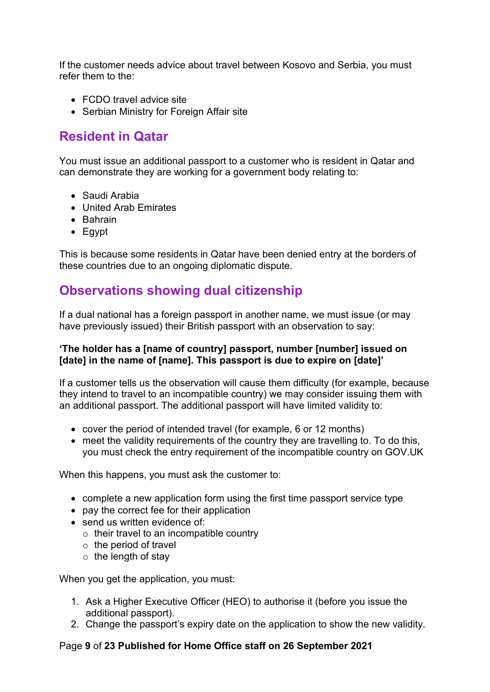If the customer needs advice about travel between Kosovo and Serbia, you must refer them to the:

- FCDO travel advice site
- Serbian Ministry for Foreign Affair site

## <span id="page-8-0"></span>**Resident in Qatar**

You must issue an additional passport to a customer who is resident in Qatar and can demonstrate they are working for a government body relating to:

- Saudi Arabia
- United Arab Emirates
- Bahrain
- Egypt

This is because some residents in Qatar have been denied entry at the borders of these countries due to an ongoing diplomatic dispute.

#### <span id="page-8-1"></span>**Observations showing dual citizenship**

If a dual national has a foreign passport in another name, we must issue (or may have previously issued) their British passport with an observation to say:

#### **'The holder has a [name of country] passport, number [number] issued on [date] in the name of [name]. This passport is due to expire on [date]'**

If a customer tells us the observation will cause them difficulty (for example, because they intend to travel to an incompatible country) we may consider issuing them with an additional passport. The additional passport will have limited validity to:

- cover the period of intended travel (for example, 6 or 12 months)
- meet the validity requirements of the country they are travelling to. To do this, you must check the entry requirement of the incompatible country on GOV.UK

When this happens, you must ask the customer to:

- complete a new application form using the first time passport service type
- pay the correct fee for their application
- send us written evidence of:
	- $\circ$  their travel to an incompatible country
	- $\circ$  the period of travel
	- $\circ$  the length of stay

When you get the application, you must:

- 1. Ask a Higher Executive Officer (HEO) to authorise it (before you issue the additional passport).
- 2. Change the passport's expiry date on the application to show the new validity.

#### Page **9** of **23 Published for Home Office staff on 26 September 2021**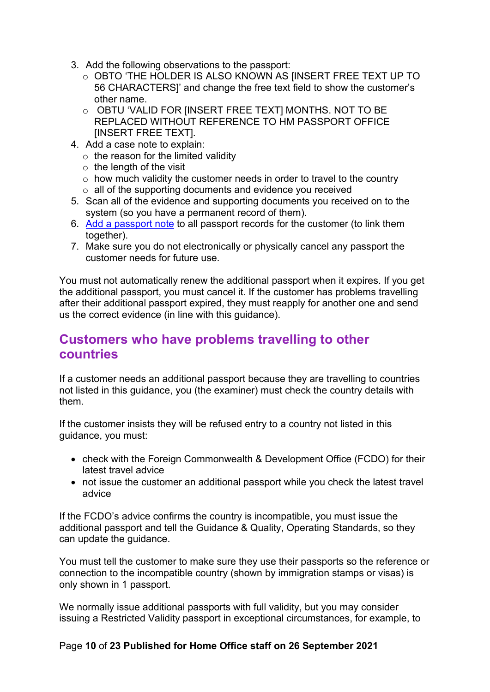- 3. Add the following observations to the passport:
	- o OBTO 'THE HOLDER IS ALSO KNOWN AS [INSERT FREE TEXT UP TO 56 CHARACTERS]' and change the free text field to show the customer's other name.
	- o OBTU 'VALID FOR [INSERT FREE TEXT] MONTHS. NOT TO BE REPLACED WITHOUT REFERENCE TO HM PASSPORT OFFICE [INSERT FREE TEXT].
- 4. Add a case note to explain:
	- $\circ$  the reason for the limited validity
	- $\circ$  the length of the visit
	- $\circ$  how much validity the customer needs in order to travel to the country
	- $\circ$  all of the supporting documents and evidence you received
- 5. Scan all of the evidence and supporting documents you received on to the system (so you have a permanent record of them).
- 6. [Add a passport note](#page-21-3) to all passport records for the customer (to link them together).
- 7. Make sure you do not electronically or physically cancel any passport the customer needs for future use.

You must not automatically renew the additional passport when it expires. If you get the additional passport, you must cancel it. If the customer has problems travelling after their additional passport expired, they must reapply for another one and send us the correct evidence (in line with this guidance).

### <span id="page-9-0"></span>**Customers who have problems travelling to other countries**

If a customer needs an additional passport because they are travelling to countries not listed in this guidance, you (the examiner) must check the country details with them.

If the customer insists they will be refused entry to a country not listed in this guidance, you must:

- check with the Foreign Commonwealth & Development Office (FCDO) for their latest travel advice
- not issue the customer an additional passport while you check the latest travel advice

If the FCDO's advice confirms the country is incompatible, you must issue the additional passport and tell the Guidance & Quality, Operating Standards, so they can update the guidance.

You must tell the customer to make sure they use their passports so the reference or connection to the incompatible country (shown by immigration stamps or visas) is only shown in 1 passport.

We normally issue additional passports with full validity, but you may consider issuing a Restricted Validity passport in exceptional circumstances, for example, to

#### Page **10** of **23 Published for Home Office staff on 26 September 2021**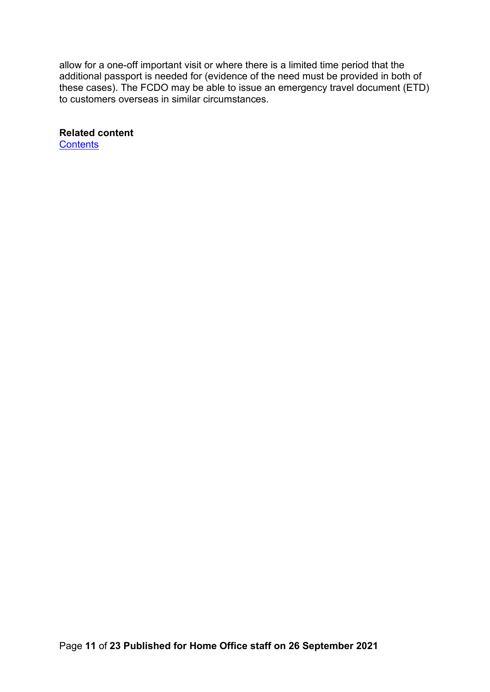allow for a one-off important visit or where there is a limited time period that the additional passport is needed for (evidence of the need must be provided in both of these cases). The FCDO may be able to issue an emergency travel document (ETD) to customers overseas in similar circumstances.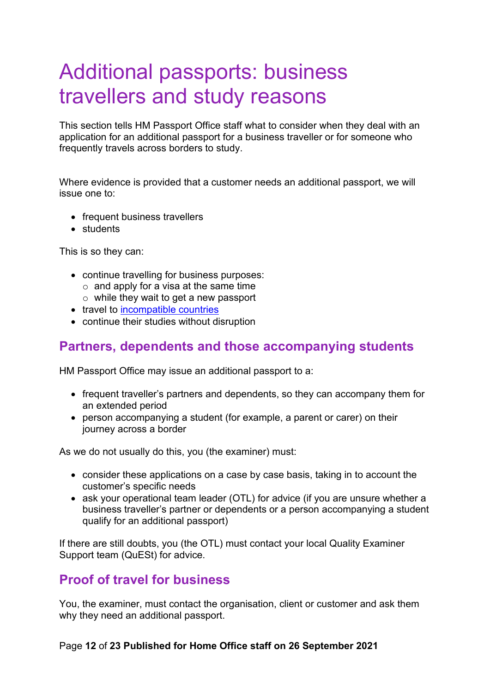# <span id="page-11-0"></span>Additional passports: business travellers and study reasons

This section tells HM Passport Office staff what to consider when they deal with an application for an additional passport for a business traveller or for someone who frequently travels across borders to study.

Where evidence is provided that a customer needs an additional passport, we will issue one to:

- frequent business travellers
- students

This is so they can:

- continue travelling for business purposes:
	- $\circ$  and apply for a visa at the same time
	- $\circ$  while they wait to get a new passport
- travel to [incompatible countries](#page-6-0)
- continue their studies without disruption

#### <span id="page-11-1"></span>**Partners, dependents and those accompanying students**

HM Passport Office may issue an additional passport to a:

- frequent traveller's partners and dependents, so they can accompany them for an extended period
- person accompanying a student (for example, a parent or carer) on their journey across a border

As we do not usually do this, you (the examiner) must:

- consider these applications on a case by case basis, taking in to account the customer's specific needs
- ask your operational team leader (OTL) for advice (if you are unsure whether a business traveller's partner or dependents or a person accompanying a student qualify for an additional passport)

If there are still doubts, you (the OTL) must contact your local Quality Examiner Support team (QuESt) for advice.

## <span id="page-11-2"></span>**Proof of travel for business**

You, the examiner, must contact the organisation, client or customer and ask them why they need an additional passport.

#### Page **12** of **23 Published for Home Office staff on 26 September 2021**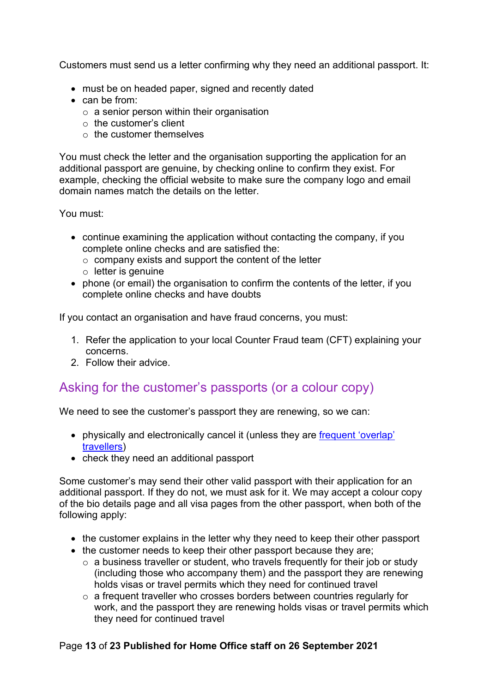Customers must send us a letter confirming why they need an additional passport. It:

- must be on headed paper, signed and recently dated
- can be from:
	- $\circ$  a senior person within their organisation
	- $\circ$  the customer's client
	- $\circ$  the customer themselves

You must check the letter and the organisation supporting the application for an additional passport are genuine, by checking online to confirm they exist. For example, checking the official website to make sure the company logo and email domain names match the details on the letter.

You must:

- continue examining the application without contacting the company, if you complete online checks and are satisfied the:
	- $\circ$  company exists and support the content of the letter
	- $\circ$  letter is genuine
- phone (or email) the organisation to confirm the contents of the letter, if you complete online checks and have doubts

If you contact an organisation and have fraud concerns, you must:

- 1. Refer the application to your local Counter Fraud team (CFT) explaining your concerns.
- 2. Follow their advice.

#### <span id="page-12-0"></span>Asking for the customer's passports (or a colour copy)

We need to see the customer's passport they are renewing, so we can:

- physically and electronically cancel it (unless they are frequent 'overlap' [travellers\)](#page-14-1)
- check they need an additional passport

Some customer's may send their other valid passport with their application for an additional passport. If they do not, we must ask for it. We may accept a colour copy of the bio details page and all visa pages from the other passport, when both of the following apply:

- the customer explains in the letter why they need to keep their other passport
- the customer needs to keep their other passport because they are;
	- $\circ$  a business traveller or student, who travels frequently for their job or study (including those who accompany them) and the passport they are renewing holds visas or travel permits which they need for continued travel
	- $\circ$  a frequent traveller who crosses borders between countries regularly for work, and the passport they are renewing holds visas or travel permits which they need for continued travel

#### Page **13** of **23 Published for Home Office staff on 26 September 2021**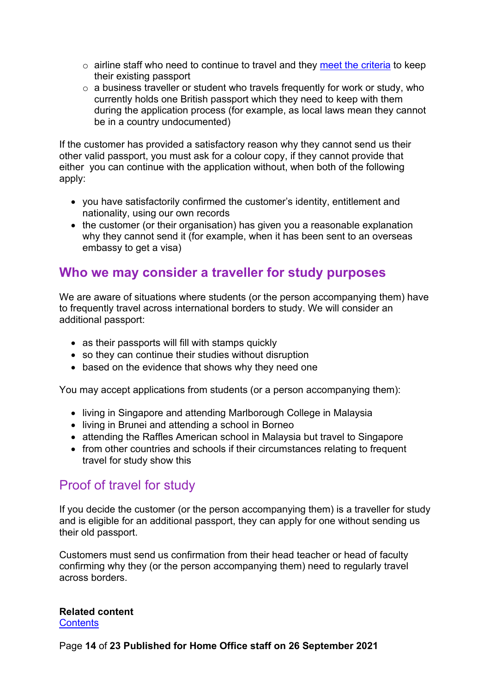- $\circ$  airline staff who need to continue to travel and they [meet the criteria](#page-13-3) to keep their existing passport
- o a business traveller or student who travels frequently for work or study, who currently holds one British passport which they need to keep with them during the application process (for example, as local laws mean they cannot be in a country undocumented)

If the customer has provided a satisfactory reason why they cannot send us their other valid passport, you must ask for a colour copy, if they cannot provide that either you can continue with the application without, when both of the following apply:

- you have satisfactorily confirmed the customer's identity, entitlement and nationality, using our own records
- the customer (or their organisation) has given you a reasonable explanation why they cannot send it (for example, when it has been sent to an overseas embassy to get a visa)

#### <span id="page-13-3"></span><span id="page-13-0"></span>**Who we may consider a traveller for study purposes**

We are aware of situations where students (or the person accompanying them) have to frequently travel across international borders to study. We will consider an additional passport:

- as their passports will fill with stamps quickly
- so they can continue their studies without disruption
- based on the evidence that shows why they need one

You may accept applications from students (or a person accompanying them):

- living in Singapore and attending Marlborough College in Malaysia
- living in Brunei and attending a school in Borneo
- attending the Raffles American school in Malaysia but travel to Singapore
- from other countries and schools if their circumstances relating to frequent travel for study show this

#### <span id="page-13-1"></span>Proof of travel for study

If you decide the customer (or the person accompanying them) is a traveller for study and is eligible for an additional passport, they can apply for one without sending us their old passport.

<span id="page-13-2"></span>Customers must send us confirmation from their head teacher or head of faculty confirming why they (or the person accompanying them) need to regularly travel across borders.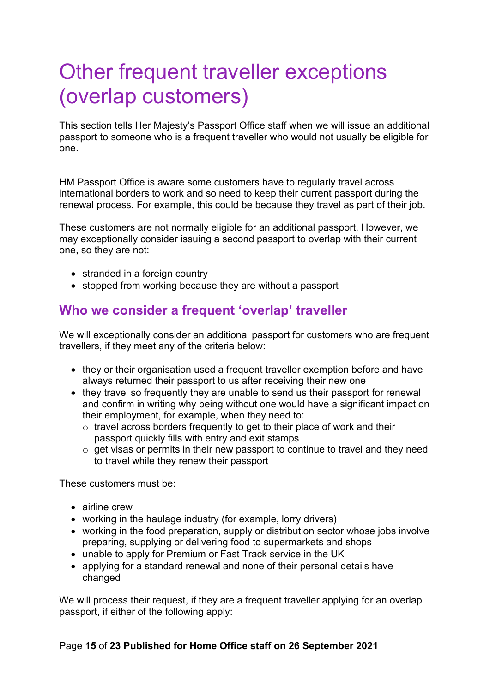# <span id="page-14-0"></span>Other frequent traveller exceptions (overlap customers)

This section tells Her Majesty's Passport Office staff when we will issue an additional passport to someone who is a frequent traveller who would not usually be eligible for one.

HM Passport Office is aware some customers have to regularly travel across international borders to work and so need to keep their current passport during the renewal process. For example, this could be because they travel as part of their job.

These customers are not normally eligible for an additional passport. However, we may exceptionally consider issuing a second passport to overlap with their current one, so they are not:

- stranded in a foreign country
- stopped from working because they are without a passport

#### <span id="page-14-1"></span>**Who we consider a frequent 'overlap' traveller**

We will exceptionally consider an additional passport for customers who are frequent travellers, if they meet any of the criteria below:

- they or their organisation used a frequent traveller exemption before and have always returned their passport to us after receiving their new one
- they travel so frequently they are unable to send us their passport for renewal and confirm in writing why being without one would have a significant impact on their employment, for example, when they need to:
	- o travel across borders frequently to get to their place of work and their passport quickly fills with entry and exit stamps
	- $\circ$  get visas or permits in their new passport to continue to travel and they need to travel while they renew their passport

These customers must be:

- airline crew
- working in the haulage industry (for example, lorry drivers)
- working in the food preparation, supply or distribution sector whose jobs involve preparing, supplying or delivering food to supermarkets and shops
- unable to apply for Premium or Fast Track service in the UK
- applying for a standard renewal and none of their personal details have changed

We will process their request, if they are a frequent traveller applying for an overlap passport, if either of the following apply:

#### Page **15** of **23 Published for Home Office staff on 26 September 2021**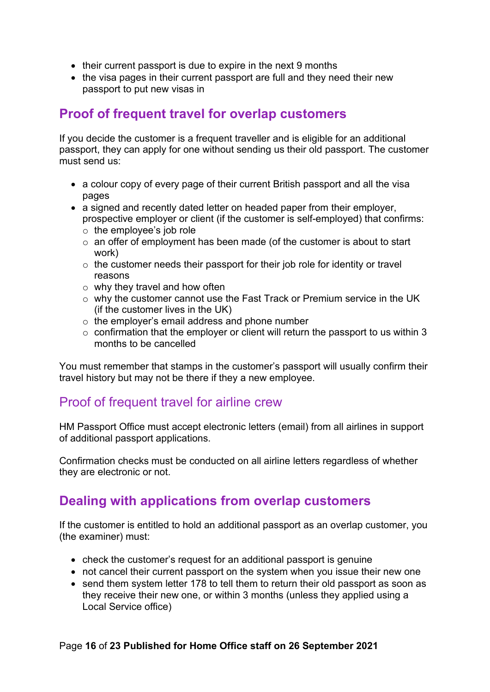- their current passport is due to expire in the next 9 months
- the visa pages in their current passport are full and they need their new passport to put new visas in

#### <span id="page-15-0"></span>**Proof of frequent travel for overlap customers**

If you decide the customer is a frequent traveller and is eligible for an additional passport, they can apply for one without sending us their old passport. The customer must send us:

- a colour copy of every page of their current British passport and all the visa pages
- a signed and recently dated letter on headed paper from their employer. prospective employer or client (if the customer is self-employed) that confirms:
	- $\circ$  the employee's job role
	- $\circ$  an offer of employment has been made (of the customer is about to start work)
	- $\circ$  the customer needs their passport for their job role for identity or travel reasons
	- $\circ$  why they travel and how often
	- o why the customer cannot use the Fast Track or Premium service in the UK (if the customer lives in the UK)
	- o the employer's email address and phone number
	- $\circ$  confirmation that the employer or client will return the passport to us within 3 months to be cancelled

You must remember that stamps in the customer's passport will usually confirm their travel history but may not be there if they a new employee.

#### <span id="page-15-1"></span>Proof of frequent travel for airline crew

HM Passport Office must accept electronic letters (email) from all airlines in support of additional passport applications.

Confirmation checks must be conducted on all airline letters regardless of whether they are electronic or not.

## <span id="page-15-2"></span>**Dealing with applications from overlap customers**

If the customer is entitled to hold an additional passport as an overlap customer, you (the examiner) must:

- check the customer's request for an additional passport is genuine
- not cancel their current passport on the system when you issue their new one
- send them system letter 178 to tell them to return their old passport as soon as they receive their new one, or within 3 months (unless they applied using a Local Service office)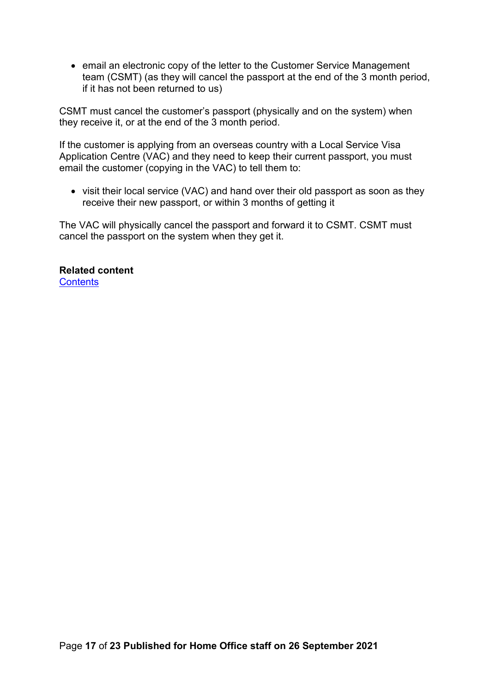• email an electronic copy of the letter to the Customer Service Management team (CSMT) (as they will cancel the passport at the end of the 3 month period, if it has not been returned to us)

CSMT must cancel the customer's passport (physically and on the system) when they receive it, or at the end of the 3 month period.

If the customer is applying from an overseas country with a Local Service Visa Application Centre (VAC) and they need to keep their current passport, you must email the customer (copying in the VAC) to tell them to:

• visit their local service (VAC) and hand over their old passport as soon as they receive their new passport, or within 3 months of getting it

The VAC will physically cancel the passport and forward it to CSMT. CSMT must cancel the passport on the system when they get it.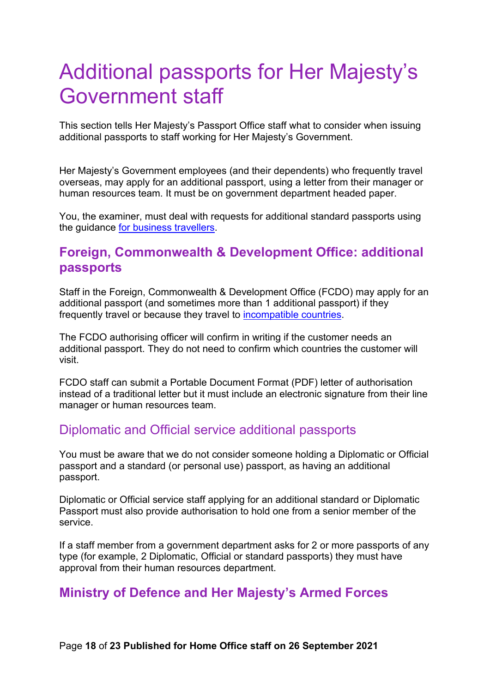# <span id="page-17-0"></span>Additional passports for Her Majesty's Government staff

This section tells Her Majesty's Passport Office staff what to consider when issuing additional passports to staff working for Her Majesty's Government.

Her Majesty's Government employees (and their dependents) who frequently travel overseas, may apply for an additional passport, using a letter from their manager or human resources team. It must be on government department headed paper.

You, the examiner, must deal with requests for additional standard passports using the guidance [for business travellers.](#page-11-0)

#### <span id="page-17-1"></span>**Foreign, Commonwealth & Development Office: additional passports**

Staff in the Foreign, Commonwealth & Development Office (FCDO) may apply for an additional passport (and sometimes more than 1 additional passport) if they frequently travel or because they travel to [incompatible countries.](#page-6-0)

The FCDO authorising officer will confirm in writing if the customer needs an additional passport. They do not need to confirm which countries the customer will visit.

FCDO staff can submit a Portable Document Format (PDF) letter of authorisation instead of a traditional letter but it must include an electronic signature from their line manager or human resources team.

#### <span id="page-17-2"></span>Diplomatic and Official service additional passports

You must be aware that we do not consider someone holding a Diplomatic or Official passport and a standard (or personal use) passport, as having an additional passport.

Diplomatic or Official service staff applying for an additional standard or Diplomatic Passport must also provide authorisation to hold one from a senior member of the service.

If a staff member from a government department asks for 2 or more passports of any type (for example, 2 Diplomatic, Official or standard passports) they must have approval from their human resources department.

#### <span id="page-17-3"></span>**Ministry of Defence and Her Majesty's Armed Forces**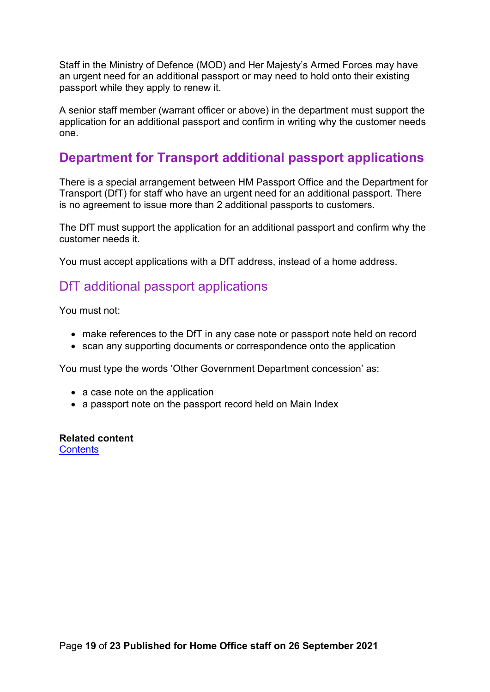Staff in the Ministry of Defence (MOD) and Her Majesty's Armed Forces may have an urgent need for an additional passport or may need to hold onto their existing passport while they apply to renew it.

A senior staff member (warrant officer or above) in the department must support the application for an additional passport and confirm in writing why the customer needs one.

#### <span id="page-18-0"></span>**Department for Transport additional passport applications**

There is a special arrangement between HM Passport Office and the Department for Transport (DfT) for staff who have an urgent need for an additional passport. There is no agreement to issue more than 2 additional passports to customers.

The DfT must support the application for an additional passport and confirm why the customer needs it.

You must accept applications with a DfT address, instead of a home address.

#### <span id="page-18-1"></span>DfT additional passport applications

You must not:

- make references to the DfT in any case note or passport note held on record
- scan any supporting documents or correspondence onto the application

You must type the words 'Other Government Department concession' as:

- a case note on the application
- a passport note on the passport record held on Main Index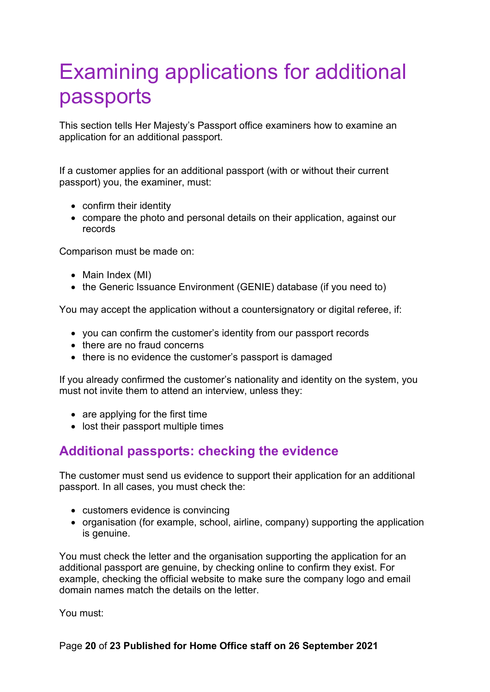# <span id="page-19-0"></span>Examining applications for additional passports

This section tells Her Majesty's Passport office examiners how to examine an application for an additional passport.

If a customer applies for an additional passport (with or without their current passport) you, the examiner, must:

- confirm their identity
- compare the photo and personal details on their application, against our records

Comparison must be made on:

- Main Index (MI)
- the Generic Issuance Environment (GENIE) database (if you need to)

You may accept the application without a countersignatory or digital referee, if:

- you can confirm the customer's identity from our passport records
- there are no fraud concerns
- there is no evidence the customer's passport is damaged

If you already confirmed the customer's nationality and identity on the system, you must not invite them to attend an interview, unless they:

- are applying for the first time
- lost their passport multiple times

#### <span id="page-19-1"></span>**Additional passports: checking the evidence**

The customer must send us evidence to support their application for an additional passport. In all cases, you must check the:

- customers evidence is convincing
- organisation (for example, school, airline, company) supporting the application is genuine.

You must check the letter and the organisation supporting the application for an additional passport are genuine, by checking online to confirm they exist. For example, checking the official website to make sure the company logo and email domain names match the details on the letter.

You must: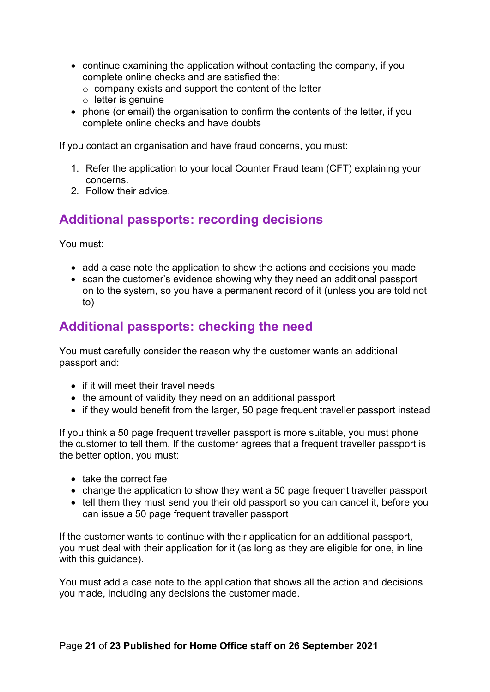- continue examining the application without contacting the company, if you complete online checks and are satisfied the:
	- $\circ$  company exists and support the content of the letter
	- $\circ$  letter is genuine
- phone (or email) the organisation to confirm the contents of the letter, if you complete online checks and have doubts

If you contact an organisation and have fraud concerns, you must:

- 1. Refer the application to your local Counter Fraud team (CFT) explaining your concerns.
- 2. Follow their advice.

### <span id="page-20-0"></span>**Additional passports: recording decisions**

You must:

- add a case note the application to show the actions and decisions you made
- scan the customer's evidence showing why they need an additional passport on to the system, so you have a permanent record of it (unless you are told not to)

## <span id="page-20-1"></span>**Additional passports: checking the need**

You must carefully consider the reason why the customer wants an additional passport and:

- if it will meet their travel needs
- the amount of validity they need on an additional passport
- if they would benefit from the larger, 50 page frequent traveller passport instead

If you think a 50 page frequent traveller passport is more suitable, you must phone the customer to tell them. If the customer agrees that a frequent traveller passport is the better option, you must:

- take the correct fee
- change the application to show they want a 50 page frequent traveller passport
- tell them they must send you their old passport so you can cancel it, before you can issue a 50 page frequent traveller passport

If the customer wants to continue with their application for an additional passport, you must deal with their application for it (as long as they are eligible for one, in line with this guidance).

You must add a case note to the application that shows all the action and decisions you made, including any decisions the customer made.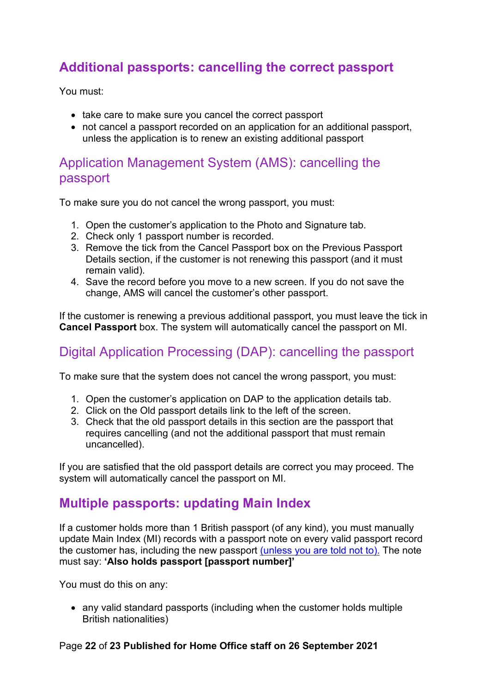## <span id="page-21-0"></span>**Additional passports: cancelling the correct passport**

You must:

- take care to make sure you cancel the correct passport
- not cancel a passport recorded on an application for an additional passport, unless the application is to renew an existing additional passport

#### <span id="page-21-1"></span>Application Management System (AMS): cancelling the passport

To make sure you do not cancel the wrong passport, you must:

- 1. Open the customer's application to the Photo and Signature tab.
- 2. Check only 1 passport number is recorded.
- 3. Remove the tick from the Cancel Passport box on the Previous Passport Details section, if the customer is not renewing this passport (and it must remain valid).
- 4. Save the record before you move to a new screen. If you do not save the change, AMS will cancel the customer's other passport.

If the customer is renewing a previous additional passport, you must leave the tick in **Cancel Passport** box. The system will automatically cancel the passport on MI.

## <span id="page-21-2"></span>Digital Application Processing (DAP): cancelling the passport

To make sure that the system does not cancel the wrong passport, you must:

- 1. Open the customer's application on DAP to the application details tab.
- 2. Click on the Old passport details link to the left of the screen.
- 3. Check that the old passport details in this section are the passport that requires cancelling (and not the additional passport that must remain uncancelled).

If you are satisfied that the old passport details are correct you may proceed. The system will automatically cancel the passport on MI.

#### <span id="page-21-3"></span>**Multiple passports: updating Main Index**

If a customer holds more than 1 British passport (of any kind), you must manually update Main Index (MI) records with a passport note on every valid passport record the customer has, including the new passport [\(unless you are told not to\).](#page-18-0) The note must say: **'Also holds passport [passport number]'**

You must do this on any:

• any valid standard passports (including when the customer holds multiple British nationalities)

#### Page **22** of **23 Published for Home Office staff on 26 September 2021**